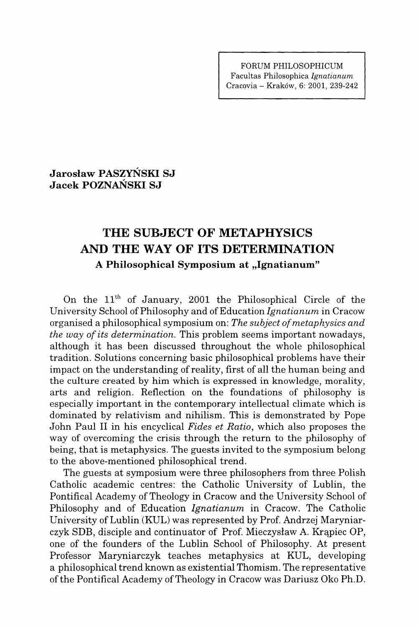**FORUM PHILOSOPHICUM Facultas Philosophica** *Ignatianum*  **Cracovia - Kraköw, 6: 2001, 239-242** 

**Jaroslaw PASZYNSKI SJ Jacek POZNAŃSKI SJ** 

## **THE SUBJECT OF METAPHYSICS AND THE WAY OF ITS DETERMINATION**  A Philosophical Symposium at "Ignatianum"

On the  $11<sup>th</sup>$  of January, 2001 the Philosophical Circle of the University School of Philosophy and of Education Ignatianum in Cracow organised a philosophical symposium on: *The subject of metaphysics and the way of its determination.* This problem seems important nowadays, although it has been discussed throughout the whole philosophical tradition. Solutions concerning basic philosophical problems have their impact on the understanding of reality, first of all the human being and the culture created by him which is expressed in knowledge, morality, arts and religion. Reflection on the foundations of philosophy is especially important in the contemporary intellectual climate which is dominated by relativism and nihilism. This is demonstrated by Pope John Paul II in his encyclical *Fides et Ratio,* which also proposes the way of overcoming the crisis through the return to the philosophy of being, that is metaphysics. The guests invited to the symposium belong to the above-mentioned philosophical trend.

The guests at symposium were three philosophers from three Polish Catholic academic centres: the Catholic University of Lublin, the Pontifical Academy of Theology in Cracow and the University School of Philosophy and of Education *Ignatianum* in Cracow. The Catholic University of Lublin (KUL) was represented by Prof. Andrzej Maryniarczyk SDB, disciple and continuator of Prof. Mieczysław A. Krapiec OP, one of the founders of the Lublin School of Philosophy. At present Professor Maryniarczyk teaches metaphysics at KUL, developing a philosophical trend known as existential Thomism. The representative of the Pontifical Academy of Theology in Cracow was Dariusz Oko Ph.D.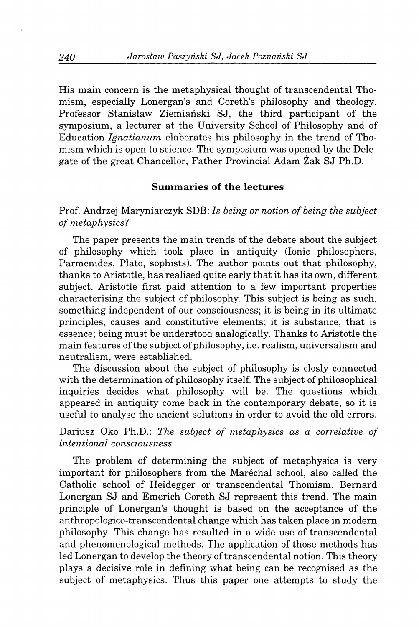His main concern is the metaphysical thought of transcendental Thomism, especially Lonergan's and Coreth's philosophy and theology. Professor Stanisław Ziemiański SJ, the third participant of the symposium, a lecturer at the University School of Philosophy and of Education *Ignatianum* elaborates his philosophy in the trend of Thomism which is open to science. The symposium was opened by the Delegate of the great Chancellor, Father Provincial Adam Zak SJ Ph.D.

## **Summaries of the lectures**

Prof Andrzej Maryniarczyk SDB: 7s *being or notion of being the subject of metaphysics?* 

The paper presents the main trends of the debate about the subject of philosophy which took place in antiquity (Ionic philosophers, Parmenides, Plato, sophists). The author points out that philosophy, thanks to Aristotle, has realised quite early that it has its own, different subject. Aristotle first paid attention to a few important properties characterising the subject of philosophy. This subject is being as such, something independent of our consciousness; it is being in its ultimate principles, causes and constitutive elements; it is substance, that is essence; being must be understood analogically. Thanks to Aristotle the main features of the subject of philosophy, i.e. realism, universalism and neutralism, were established.

The discussion about the subject of philosophy is closly connected with the determination of philosophy itself. The subject of philosophical inquiries decides what philosophy will be. The questions which appeared in antiquity come back in the contemporary debate, so it is useful to analyse the ancient solutions in order to avoid the old errors.

Dariusz Oko Ph.D.: *The subject of metaphysics as a correlative of intentional consciousness* 

The problem of determining the subject of metaphysics is very important for philosophers from the Marechal school, also called the Catholic school of Heidegger or transcendental Thomism. Bernard Lonergan SJ and Emerich Coreth SJ represent this trend. The main principle of Lonergan's thought is based on the acceptance of the anthropologico-transcendental change which has taken place in modern philosophy. This change has resulted in a wide use of transcendental and phenomenological methods. The application of those methods has led Lonergan to develop the theory of transcendental notion. This theory plays a decisive role in defining what being can be recognised as the subject of metaphysics. Thus this paper one attempts to study the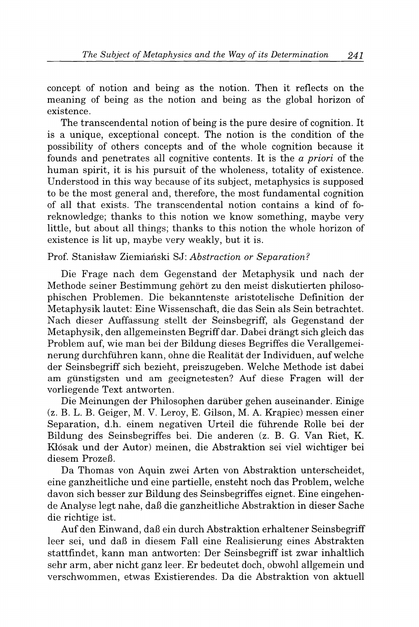concept of notion and being as the notion. Then it reflects on the meaning of being as the notion and being as the global horizon of existence.

The transcendental notion of being is the pure desire of cognition. It is a unique, exceptional concept. The notion is the condition of the possibility of others concepts and of the whole cognition because it founds and penetrates all cognitive contents. It is the *a priori* of the human spirit, it is his pursuit of the wholeness, totality of existence. Understood in this way because of its subject, metaphysics is supposed to be the most general and, therefore, the most fundamental cognition of all that exists. The transcendental notion contains a kind of foreknowledge; thanks to this notion we know something, maybe very little, but about all things; thanks to this notion the whole horizon of existence is lit up, maybe very weakly, but it is.

## Prof. Stanisław Ziemiański SJ: Abstraction or Separation?

Die Frage nach dem Gegenstand der Metaphysik und nach der Methode seiner Bestimmung gehört zu den meist diskutierten philosophischen Problemen. Die bekanntenste aristotelische Definition der Metaphysik lautet: Eine Wissenschaft, die das Sein als Sein betrachtet. Nach dieser Auffassung stellt der Seinsbegriff, als Gegenstand der Metaphysik, den allgemeinsten Begriff dar. Dabei drängt sich gleich das Problem auf, wie man bei der Bildung dieses Begriffes die Verallgemeinerung durchführen kann, ohne die Realität der Individuen, auf welche der Seinsbegriff sich bezieht, preiszugeben. Welche Methode ist dabei am günstigsten und am geeignetesten? Auf diese Fragen will der vorliegende Text antworten.

Die Meinungen der Philosophen darüber gehen auseinander. Einige (z. B. L. B. Geiger, M. V. Leroy, E. Gilson, M. A. Krapiec) messen einer Separation, d.h. einem negativen Urteil die führende Rolle bei der Bildung des Seinsbegriffes bei. Die anderen (z. B. G. Van Riet, K. Klösak und der Autor) meinen, die Abstraktion sei viel wichtiger bei diesem Prozeß.

Da Thomas von Aquin zwei Arten von Abstraktion unterscheidet, eine ganzheitliche und eine partielle, ensteht noch das Problem, welche davon sich besser zur Bildung des Seinsbegriffes eignet. Eine eingehende Analyse legt nahe, daß die ganzheitliche Abstraktion in dieser Sache die richtige ist.

Auf den Einwand, daß ein durch Abstraktion erhaltener Seinsbegriff leer sei, und daß in diesem Fall eine Realisierung eines Abstrakten stattfindet, kann man antworten: Der Seinsbegriff ist zwar inhaltlich sehr arm, aber nicht ganz leer. Er bedeutet doch, obwohl allgemein und verschwommen, etwas Existierendes. Da die Abstraktion von aktuell